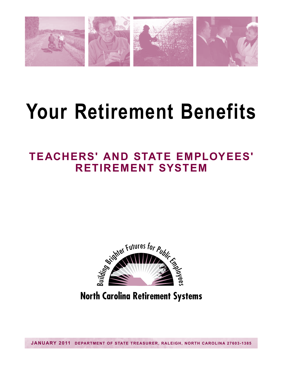

# **Your Retirement Benefits**

# **TEACHERS' AND STATE EMPLOYEES' RETIREMENT SYSTEM**



**North Carolina Retirement Systems**

**JANUARY 2011 DEPARTMENT OF STATE TREASURER, RALEIGH, NORTH CAROLINA 27603-1385**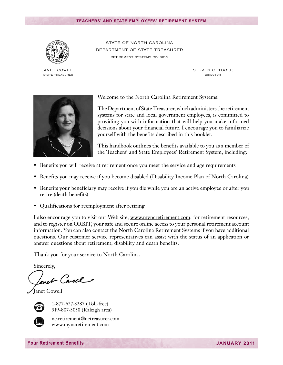

janet cowell State Treasurer

STATE OF NORTH CAROLINA Department of State Treasurer Retirement Systems Division

> STEVEN C. TOOLE Director



Welcome to the North Carolina Retirement Systems!

The Department of State Treasurer, which administers the retirement systems for state and local government employees, is committed to providing you with information that will help you make informed decisions about your financial future. I encourage you to familiarize yourself with the benefits described in this booklet.

This handbook outlines the benefits available to you as a member of the Teachers' and State Employees' Retirement System, including:

- Benefits you will receive at retirement once you meet the service and age requirements
- Benefits you may receive if you become disabled (Disability Income Plan of North Carolina)
- Benefits your beneficiary may receive if you die while you are an active employee or after you retire (death benefits)
- Qualifications for reemployment after retiring

I also encourage you to visit our Web site, www.myncretirement.com, for retirement resources, and to register on ORBIT, your safe and secure online access to your personal retirement account information. You can also contact the North Carolina Retirement Systems if you have additional questions. Our customer service representatives can assist with the status of an application or answer questions about retirement, disability and death benefits.

Thank you for your service to North Carolina.

Sincerely,

avet Carel

Janet Cowell



1-877-627-3287 (Toll-free) 919-807-3050 (Raleigh area) 



nc.retirement@nctreasurer.com www.myncretirement.com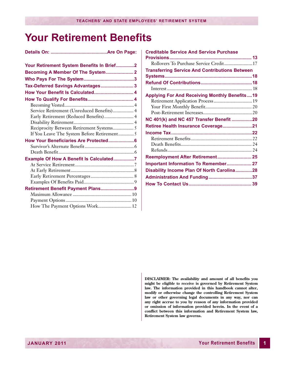# **Your Retirement Benefits**

| Your Retirement System Benefits In Brief2  |  |
|--------------------------------------------|--|
| Becoming A Member Of The System 2          |  |
|                                            |  |
| Tax-Deferred Savings Advantages 3          |  |
| How Your Benefit Is Calculated 4           |  |
|                                            |  |
|                                            |  |
| Service Retirement (Unreduced Benefits) 4  |  |
| Early Retirement (Reduced Benefits) 4      |  |
|                                            |  |
| Reciprocity Between Retirement Systems 5   |  |
| If You Leave The System Before Retirement5 |  |
| How Your Beneficiaries Are Protected6      |  |
|                                            |  |
|                                            |  |
| Example Of How A Benefit Is Calculated7    |  |
|                                            |  |
|                                            |  |
|                                            |  |
|                                            |  |
| Retirement Benefit Payment Plans9          |  |
|                                            |  |
| How The Payment Options Work 12            |  |
|                                            |  |

| <b>Creditable Service And Service Purchase</b>        |  |
|-------------------------------------------------------|--|
|                                                       |  |
| Rollovers To Purchase Service Credit17                |  |
| <b>Transferring Service And Contributions Between</b> |  |
|                                                       |  |
|                                                       |  |
|                                                       |  |
| <b>Applying For And Receiving Monthly Benefits19</b>  |  |
| Retirement Application Process 19                     |  |
|                                                       |  |
|                                                       |  |
| NC 401(k) and NC 457 Transfer Benefit 20              |  |
| Retiree Health Insurance Coverage21                   |  |
|                                                       |  |
|                                                       |  |
|                                                       |  |
|                                                       |  |
| Reemployment After Retirement 25                      |  |
| Important Information To Remember 27                  |  |
| Disability Income Plan Of North Carolina28            |  |
|                                                       |  |
|                                                       |  |
|                                                       |  |

**DISCLAIMER: The availability and amount of all benefits you might be eligible to receive is governed by Retirement System law. The information provided in this handbook cannot alter, modify or otherwise change the controlling Retirement System law or other governing legal documents in any way, nor can any right accrue to you by reason of any information provided or omission of information provided herein. In the event of a conflict between this information and Retirement System law, Retirement System law governs.**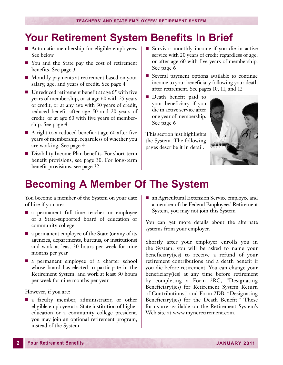### <span id="page-3-0"></span>**Your Retirement System Benefits In Brief**

- Automatic membership for eligible employees. See below
- You and the State pay the cost of retirement benefits. See page 3
- Monthly payments at retirement based on your salary, age, and years of credit. See page 4
- $\blacksquare$  Unreduced retirement benefit at age 65 with five years of membership, or at age 60 with 25 years of credit, or at any age with 30 years of credit; reduced benefit after age 50 and 20 years of credit, or at age 60 with five years of membership. See page 4
- $\blacksquare$  A right to a reduced benefit at age 60 after five years of membership, regardless of whether you are working. See page 4
- Disability Income Plan benefits. For short-term benefit provisions, see page 30. For long-term benefit provisions, see page 32
- Survivor monthly income if you die in active service with 20 years of credit regardless of age; or after age 60 with five years of membership. See page 6
- $\blacksquare$  Several payment options available to continue income to your beneficiary following your death after retirement. See pages 10, 11, and 12
- **n** Death benefit paid to your beneficiary if you die in active service after one year of membership. See page 6

This section just highlights the System. The following pages describe it in detail.



### **Becoming A Member Of The System**

You become a member of the System on your date of hire if you are:

- n a permanent full-time teacher or employee of a State-supported board of education or community college
- $\blacksquare$  a permanent employee of the State (or any of its agencies, departments, bureaus, or institutions) and work at least 30 hours per week for nine months per year
- $\blacksquare$  a permanent employee of a charter school whose board has elected to participate in the Retirement System, and work at least 30 hours per week for nine months per year

However, if you are:

n a faculty member, administrator, or other eligible employee at a State institution of higher education or a community college president, you may join an optional retirement program, instead of the System

■ an Agricultural Extension Service employee and a member of the Federal Employees' Retirement System, you may not join this System

You can get more details about the alternate systems from your employer.

Shortly after your employer enrolls you in the System, you will be asked to name your beneficiary(ies) to receive a refund of your retirement contributions and a death benefit if you die before retirement. You can change your beneficiary(ies) at any time before retirement by completing a Form 2RC, "Designating Beneficiary(ies) for Retirement System Return of Contributions," and Form 2DB, "Designating Beneficiary(ies) for the Death Benefit." These forms are available on the Retirement System's Web site at www.myncretirement.com.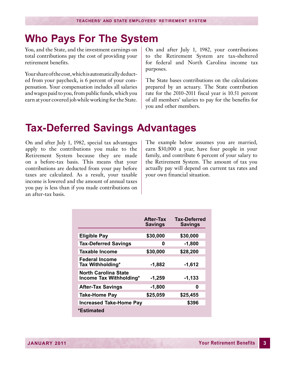### <span id="page-4-0"></span>**Who Pays For The System**

You, and the State, and the investment earnings on total contributions pay the cost of providing your retirement benefits.

Your share of the cost, which is automatically deducted from your paycheck, is 6 percent of your compensation. Your compensation includes all salaries and wages paid to you, from public funds, which you earn at your covered job while working for the State.

On and after July 1, 1982, your contributions to the Retirement System are tax-sheltered for federal and North Carolina income tax purposes.

The State bases contributions on the calculations prepared by an actuary. The State contribution rate for the 2010-2011 fiscal year is 10.51 percent of all members' salaries to pay for the benefits for you and other members.

### **Tax-Deferred Savings Advantages**

On and after July 1, 1982, special tax advantages apply to the contributions you make to the Retirement System because they are made on a before-tax basis. This means that your contributions are deducted from your pay before taxes are calculated. As a result, your taxable income is lowered and the amount of annual taxes you pay is less than if you made contributions on an after-tax basis.

The example below assumes you are married, earn \$30,000 a year, have four people in your family, and contribute 6 percent of your salary to the Retirement System. The amount of tax you actually pay will depend on current tax rates and your own financial situation.

|                                                 | <b>After-Tax</b><br><b>Savings</b> | <b>Tax-Deferred</b><br><b>Savings</b> |
|-------------------------------------------------|------------------------------------|---------------------------------------|
| <b>Eligible Pay</b>                             | \$30,000                           | \$30,000                              |
| <b>Tax-Deferred Savings</b>                     | 0                                  | $-1,800$                              |
| <b>Taxable Income</b>                           | \$30,000                           | \$28,200                              |
| <b>Federal Income</b><br>Tax Withholding*       | $-1,882$                           | $-1,612$                              |
| North Carolina State<br>Income Tax Withholding* | $-1,259$                           | $-1,133$                              |
| <b>After-Tax Savings</b>                        | $-1,800$                           | 0                                     |
| <b>Take-Home Pay</b>                            | \$25,059                           | \$25,455                              |
| <b>Increased Take-Home Pay</b>                  |                                    | \$396                                 |
| *Estimated                                      |                                    |                                       |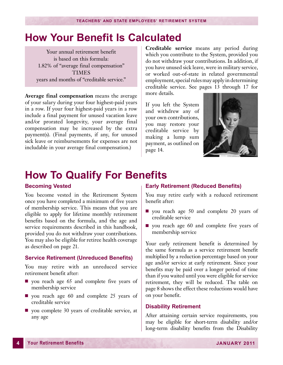### <span id="page-5-0"></span>**How Your Benefit Is Calculated**

Your annual retirement benefit is based on this formula: 1.82% of "average final compensation" TIMES years and months of "creditable service."

**Average final compensation** means the average of your salary during your four highest-paid years in a row. If your four highest-paid years in a row include a final payment for unused vacation leave and/or prorated longevity, your average final compensation may be increased by the extra payment(s). (Final payments, if any, for unused sick leave or reimbursements for expenses are not includable in your average final compensation.)

**Creditable service** means any period during which you contribute to the System, provided you do not withdraw your contributions. In addition, if you have unused sick leave, were in military service, or worked out-of-state in related governmental employment, special rules may apply in determining creditable service. See pages 13 through 17 for more details.

If you left the System and withdrew any of your own contributions, you may restore your creditable service by making a lump sum payment, as outlined on page 14.



### **How To Qualify For Benefits**

#### **Becoming Vested**

You become vested in the Retirement System once you have completed a minimum of five years of membership service. This means that you are eligible to apply for lifetime monthly retirement benefits based on the formula, and the age and service requirements described in this handbook, provided you do not withdraw your contributions. You may also be eligible for retiree health coverage as described on page 21.

#### **Service Retirement (Unreduced Benefits)**

You may retire with an unreduced service retirement benefit after:

- $\Box$  you reach age 65 and complete five years of membership service
- you reach age 60 and complete 25 years of creditable service
- vou complete 30 years of creditable service, at any age

#### **Early Retirement (Reduced Benefits)**

You may retire early with a reduced retirement benefit after:

- $\Box$  you reach age 50 and complete 20 years of creditable service
- $\blacksquare$  you reach age 60 and complete five years of membership service

Your early retirement benefit is determined by the same formula as a service retirement benefit multiplied by a reduction percentage based on your age and/or service at early retirement. Since your benefits may be paid over a longer period of time than if you waited until you were eligible for service retirement, they will be reduced. The table on page 8 shows the effect these reductions would have on your benefit.

#### **Disability Retirement**

After attaining certain service requirements, you may be eligible for short-term disability and/or long-term disability benefits from the Disability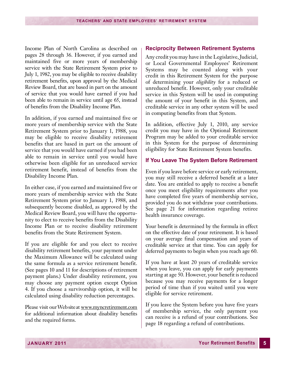<span id="page-6-0"></span>Income Plan of North Carolina as described on pages 28 through 36. However, if you earned and maintained five or more years of membership service with the State Retirement System prior to July 1, 1982, you may be eligible to receive disability retirement benefits, upon approval by the Medical Review Board, that are based in part on the amount of service that you would have earned if you had been able to remain in service until age 65, instead of benefits from the Disability Income Plan.

In addition, if you earned and maintained five or more years of membership service with the State Retirement System prior to January 1, 1988, you may be eligible to receive disability retirement benefits that are based in part on the amount of service that you would have earned if you had been able to remain in service until you would have otherwise been eligible for an unreduced service retirement benefit, instead of benefits from the Disability Income Plan.

In either case, if you earned and maintained five or more years of membership service with the State Retirement System prior to January 1, 1988, and subsequently become disabled, as approved by the Medical Review Board, you will have the opportunity to elect to receive benefits from the Disability Income Plan or to receive disability retirement benefits from the State Retirement System.

If you are eligible for and you elect to receive disability retirement benefits, your payment under the Maximum Allowance will be calculated using the same formula as a service retirement benefit. (See pages 10 and 11 for descriptions of retirement payment plans.) Under disability retirement, you may choose any payment option except Option 4. If you choose a survivorship option, it will be calculated using disability reduction percentages.

Please visit our Web site at www.myncretirement.com for additional information about disability benefits and the required forms.

#### **Reciprocity Between Retirement Systems**

Any credit you may have in the Legislative, Judicial, or Local Governmental Employees' Retirement Systems may be counted along with your credit in this Retirement System for the purpose of determining your *eligibility* for a reduced or unreduced benefit. However, only your creditable service in this System will be used in computing the amount of your benefit in this System, and creditable service in any other system will be used in computing benefits from that System.

In addition, effective July 1, 2010, any service credit you may have in the Optional Retirement Program may be added to your creditable service in this System for the purpose of determining eligibility for State Retirement System benefits.

#### **If You Leave The System Before Retirement**

Even if you leave before service or early retirement, you may still receive a deferred benefit at a later date. You are entitled to apply to receive a benefit once you meet eligibility requirements after you have completed five years of membership service, provided you do not withdraw your contributions. See page 21 for information regarding retiree health insurance coverage.

Your benefit is determined by the formula in effect on the effective date of your retirement. It is based on your average final compensation and years of creditable service at that time. You can apply for deferred payments to begin when you reach age 60.

If you have at least 20 years of creditable service when you leave, you can apply for early payments starting at age 50. However, your benefit is reduced because you may receive payments for a longer period of time than if you waited until you were eligible for service retirement.

If you leave the System before you have five years of membership service, the only payment you can receive is a refund of your contributions. See page 18 regarding a refund of contributions.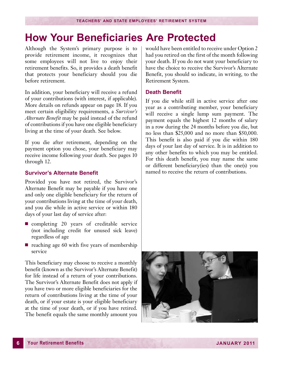# <span id="page-7-0"></span>**How Your Beneficiaries Are Protected**

Although the System's primary purpose is to provide retirement income, it recognizes that some employees will not live to enjoy their retirement benefits. So, it provides a death benefit that protects your beneficiary should you die before retirement.

In addition, your beneficiary will receive a refund of your contributions (with interest, if applicable). More details on refunds appear on page 18. If you meet certain eligibility requirements, a *Survivor's Alternate Benefit* may be paid instead of the refund of contributions if you have one eligible beneficiary living at the time of your death. See below.

If you die after retirement, depending on the payment option you chose, your beneficiary may receive income following your death. See pages 10 through 12.

#### **Survivor's Alternate Benefit**

Provided you have not retired, the Survivor's Alternate Benefit may be payable if you have one and only one eligible beneficiary for the return of your contributions living at the time of your death, and you die while in active service or within 180 days of your last day of service after:

- $\blacksquare$  completing 20 years of creditable service (not including credit for unused sick leave) regardless of age
- $\blacksquare$  reaching age 60 with five years of membership service

This beneficiary may choose to receive a monthly benefit (known as the Survivor's Alternate Benefit) for life instead of a return of your contributions. The Survivor's Alternate Benefit does not apply if you have two or more eligible beneficiaries for the return of contributions living at the time of your death, or if your estate is your eligible beneficiary at the time of your death, or if you have retired. The benefit equals the same monthly amount you

would have been entitled to receive under Option 2 had you retired on the first of the month following your death. If you do not want your beneficiary to have the choice to receive the Survivor's Alternate Benefit, you should so indicate, in writing, to the Retirement System.

#### **Death Benefit**

If you die while still in active service after one year as a contributing member, your beneficiary will receive a single lump sum payment. The payment equals the highest 12 months of salary in a row during the 24 months before you die, but no less than \$25,000 and no more than \$50,000. This benefit is also paid if you die within 180 days of your last day of service. It is in addition to any other benefits to which you may be entitled. For this death benefit, you may name the same or different beneficiary(ies) than the one(s) you named to receive the return of contributions.

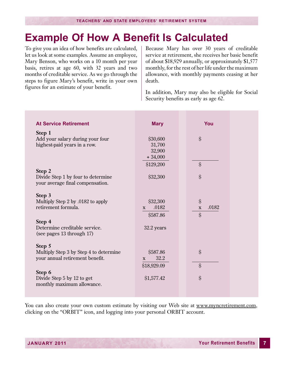### <span id="page-8-0"></span>**Example Of How A Benefit Is Calculated**

To give you an idea of how benefits are calculated, let us look at some examples. Assume an employee, Mary Benson, who works on a 10 month per year basis, retires at age 60, with 32 years and two months of creditable service. As we go through the steps to figure Mary's benefit, write in your own figures for an estimate of your benefit.

Because Mary has over 30 years of creditable service at retirement, she receives her basic benefit of about \$18,929 annually, or approximately \$1,577 monthly, for the rest of her life under the maximum allowance, with monthly payments ceasing at her death.

In addition, Mary may also be eligible for Social Security benefits as early as age 62.

| <b>At Service Retirement</b>                               | <b>Mary</b>           | You                  |
|------------------------------------------------------------|-----------------------|----------------------|
| Step 1                                                     |                       |                      |
| Add your salary during your four                           | \$30,600              | \$                   |
| highest-paid years in a row.                               | 31,700<br>32,900      |                      |
|                                                            | $+34,000$             |                      |
|                                                            | \$129,200             | $\hat{\mathcal{S}}$  |
| Step 2                                                     |                       |                      |
| Divide Step 1 by four to determine                         | \$32,300              | \$                   |
| your average final compensation.                           |                       |                      |
| Step 3                                                     |                       |                      |
| Multiply Step 2 by .0182 to apply                          | \$32,300              | \$                   |
| retirement formula.                                        | .0182<br>$\mathbf{X}$ | .0182<br>$\mathbf X$ |
|                                                            | \$587.86              | $\hat{\mathcal{S}}$  |
| Step 4                                                     |                       |                      |
| Determine creditable service.<br>(see pages 13 through 17) | 32.2 years            |                      |
|                                                            |                       |                      |
| Step 5                                                     |                       |                      |
| Multiply Step 3 by Step 4 to determine                     | \$587.86              | \$                   |
| your annual retirement benefit.                            | 32.2<br>$\mathbf{X}$  |                      |
|                                                            | \$18,929.09           | \$                   |
| Step 6<br>Divide Step 5 by 12 to get                       | \$1,577.42            | \$                   |
| monthly maximum allowance.                                 |                       |                      |
|                                                            |                       |                      |

You can also create your own custom estimate by visiting our Web site at www.myncretirement.com, clicking on the "ORBIT" icon, and logging into your personal ORBIT account.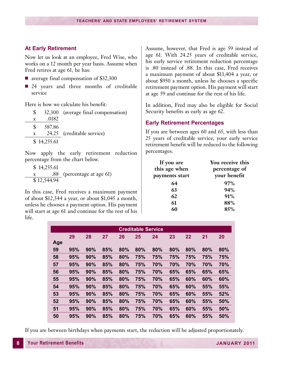#### <span id="page-9-0"></span>**At Early Retirement**

Now let us look at an employee, Fred Wise, who works on a 12 month per year basis. Assume when Fred retires at age 61, he has:

- $\blacksquare$  average final compensation of \$32,300
- $\blacksquare$  24 years and three months of creditable service

Here is how we calculate his benefit:

|             |             | 32,300 (average final compensation) |
|-------------|-------------|-------------------------------------|
| $\mathbf x$ | .0182       |                                     |
|             | 587.86      |                                     |
| X           |             | 24.25 (creditable service)          |
|             | \$14,255.61 |                                     |
|             |             |                                     |

Now apply the early retirement reduction percentage from the chart below.

| \$14,255.61 |                            |
|-------------|----------------------------|
|             | .88 (percentage at age 61) |
| \$12,544.94 |                            |

In this case, Fred receives a maximum payment of about \$12,544 a year, or about \$1,045 a month, unless he chooses a payment option. His payment will start at age 61 and continue for the rest of his life.

Assume, however, that Fred is age 59 instead of age 61. With 24.25 years of creditable service, his early service retirement reduction percentage is .80 instead of .88. In this case, Fred receives a maximum payment of about \$11,404 a year, or about \$950 a month, unless he chooses a specific retirement payment option. His payment will start at age 59 and continue for the rest of his life.

In addition, Fred may also be eligible for Social Security benefits as early as age 62.

#### **Early Retirement Percentages**

If you are between ages 60 and 65, with less than 25 years of creditable service, your early service retirement benefit will be reduced to the following percentages.

| If you are<br>this age when<br>payments start | You receive this<br>percentage of<br>your benefit |
|-----------------------------------------------|---------------------------------------------------|
| 64                                            | 97%                                               |
| 63                                            | 94%                                               |
| 62                                            | 91%                                               |
| 61                                            | 88%                                               |
|                                               | 85%                                               |

|     |     |     |     |     | <b>Creditable Service</b> |     |     |     |     |     |
|-----|-----|-----|-----|-----|---------------------------|-----|-----|-----|-----|-----|
| Age | 29  | 28  | 27  | 26  | 25                        | 24  | 23  | 22  | 21  | 20  |
| 59  | 95% | 90% | 85% | 80% | 80%                       | 80% | 80% | 80% | 80% | 80% |
| 58  | 95% | 90% | 85% | 80% | 75%                       | 75% | 75% | 75% | 75% | 75% |
| 57  | 95% | 90% | 85% | 80% | 75%                       | 70% | 70% | 70% | 70% | 70% |
| 56  | 95% | 90% | 85% | 80% | 75%                       | 70% | 65% | 65% | 65% | 65% |
| 55  | 95% | 90% | 85% | 80% | 75%                       | 70% | 65% | 60% | 60% | 60% |
| 54  | 95% | 90% | 85% | 80% | 75%                       | 70% | 65% | 60% | 55% | 55% |
| 53  | 95% | 90% | 85% | 80% | 75%                       | 70% | 65% | 60% | 55% | 52% |
| 52  | 95% | 90% | 85% | 80% | 75%                       | 70% | 65% | 60% | 55% | 50% |
| 51  | 95% | 90% | 85% | 80% | 75%                       | 70% | 65% | 60% | 55% | 50% |
| 50  | 95% | 90% | 85% | 80% | 75%                       | 70% | 65% | 60% | 55% | 50% |

If you are between birthdays when payments start, the reduction will be adjusted proportionately.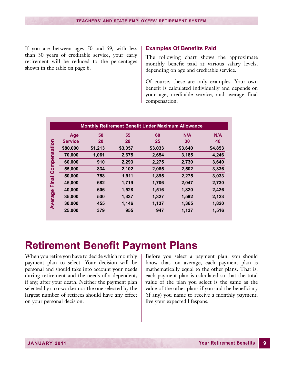<span id="page-10-0"></span>If you are between ages 50 and 59, with less than 30 years of creditable service, your early retirement will be reduced to the percentages shown in the table on page 8.

#### **Examples Of Benefits Paid**

The following chart shows the approximate monthly benefit paid at various salary levels, depending on age and creditable service.

Of course, these are only examples. Your own benefit is calculated individually and depends on your age, creditable service, and average final compensation.

|              |                |         |         |         | <b>Monthly Retirement Benefit Under Maximum Allowance</b> |         |
|--------------|----------------|---------|---------|---------|-----------------------------------------------------------|---------|
|              | Age            | 50      | 55      | 60      | N/A                                                       | N/A     |
|              | <b>Service</b> | 20      | 28      | 25      | 30                                                        | 40      |
|              | \$80,000       | \$1,213 | \$3,057 | \$3,033 | \$3,640                                                   | \$4,853 |
|              | 70,000         | 1,061   | 2,675   | 2,654   | 3,185                                                     | 4,246   |
| Compensation | 60,000         | 910     | 2,293   | 2,275   | 2,730                                                     | 3,640   |
|              | 55,000         | 834     | 2,102   | 2,085   | 2,502                                                     | 3,336   |
|              | 50,000         | 758     | 1,911   | 1,895   | 2,275                                                     | 3,033   |
| Final        | 45,000         | 682     | 1,719   | 1,706   | 2,047                                                     | 2,730   |
|              | 40,000         | 606     | 1,528   | 1,516   | 1,820                                                     | 2,426   |
| Average      | 35,000         | 530     | 1,337   | 1,327   | 1,592                                                     | 2,123   |
|              | 30,000         | 455     | 1,146   | 1,137   | 1,365                                                     | 1,820   |
|              | 25,000         | 379     | 955     | 947     | 1,137                                                     | 1,516   |

### **Retirement Benefit Payment Plans**

When you retire you have to decide which monthly payment plan to select. Your decision will be personal and should take into account your needs during retirement and the needs of a dependent, if any, after your death. Neither the payment plan selected by a co-worker nor the one selected by the largest number of retirees should have any effect on your personal decision.

Before you select a payment plan, you should know that, on average, each payment plan is mathematically equal to the other plans. That is, each payment plan is calculated so that the total value of the plan you select is the same as the value of the other plans if you and the beneficiary (if any) you name to receive a monthly payment, live your expected lifespans.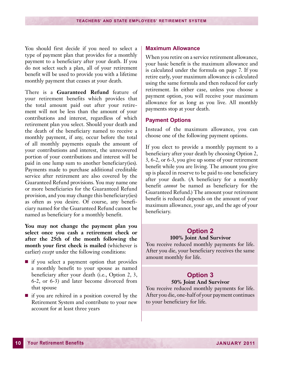<span id="page-11-0"></span>You should first decide if you need to select a type of payment plan that provides for a monthly payment to a beneficiary after your death. If you do not select such a plan, all of your retirement benefit will be used to provide you with a lifetime monthly payment that ceases at your death.

There is a **Guaranteed Refund** feature of your retirement benefits which provides that the total amount paid out after your retirement will not be less than the amount of your contributions and interest, regardless of which retirement plan you select. Should your death and the death of the beneficiary named to receive a monthly payment, if any, occur before the total of all monthly payments equals the amount of your contributions and interest, the unrecovered portion of your contributions and interest will be paid in one lump sum to another beneficiary(ies). Payments made to purchase additional creditable service after retirement are also covered by the Guaranteed Refund provisions. You may name one or more beneficiaries for the Guaranteed Refund provision, and you may change this beneficiary(ies) as often as you desire. Of course, any beneficiary named for the Guaranteed Refund cannot be named as beneficiary for a monthly benefit.

**You may not change the payment plan you select once you cash a retirement check or after the 25th of the month following the month your first check is mailed** (whichever is earlier) *except* under the following conditions:

- $\blacksquare$  if you select a payment option that provides a monthly benefit to your spouse as named beneficiary after your death (i.e., Option 2, 3, 6-2, or 6-3) and later become divorced from that spouse
- $\blacksquare$  if you are rehired in a position covered by the Retirement System and contribute to your new account for at least three years

#### **Maximum Allowance**

When you retire on a service retirement allowance, your basic benefit is the maximum allowance and is calculated under the formula on page 7. If you retire early, your maximum allowance is calculated using the same formula and then reduced for early retirement. In either case, unless you choose a payment option, you will receive your maximum allowance for as long as you live. All monthly payments stop at your death.

#### **Payment Options**

Instead of the maximum allowance, you can choose one of the following payment options.

If you elect to provide a monthly payment to a beneficiary after your death by choosing Option 2, 3, 6-2, or 6-3, you give up some of your retirement benefit while you are living. The amount you give up is placed in reserve to be paid to one beneficiary after your death. (A beneficiary for a monthly benefit *cannot* be named as beneficiary for the Guaranteed Refund.) The amount your retirement benefit is reduced depends on the amount of your maximum allowance, your age, and the age of your beneficiary.

#### **Option 2 100% Joint And Survivor**

You receive reduced monthly payments for life. After you die, your beneficiary receives the same amount monthly for life.

#### **Option 3 50% Joint And Survivor**

You receive reduced monthly payments for life. After you die, one-half of your payment continues to your beneficiary for life.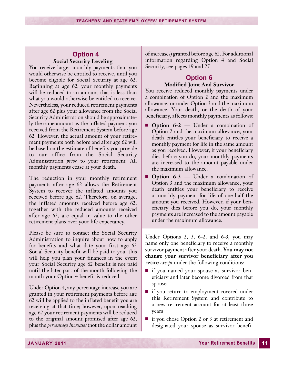#### **Option 4 Social Security Leveling**

You receive larger monthly payments than you would otherwise be entitled to receive, until you become eligible for Social Security at age 62. Beginning at age 62, your monthly payments will be reduced to an amount that is less than what you would otherwise be entitled to receive. Nevertheless, your reduced retirement payments after age 62 plus your allowance from the Social Security Administration should be approximately the same amount as the inflated payment you received from the Retirement System before age 62. However, the actual amount of your retirement payments both before and after age 62 will be based on the estimate of benefits you provide to our office from the Social Security Administration *prior* to your retirement. All monthly payments cease at your death.

The reduction in your monthly retirement payments after age 62 allows the Retirement System to recover the inflated amounts you received before age 62. Therefore, on average, the inflated amounts received before age 62, together with the reduced amounts received after age 62, are equal in value to the other retirement plans over your life expectancy.

Please be sure to contact the Social Security Administration to inquire about how to apply for benefits and what date your first age 62 Social Security benefit will be paid to you; this will help you plan your finances in the event your Social Security age 62 benefit is not paid until the later part of the month following the month your Option 4 benefit is reduced.

Under Option 4, any percentage increase you are granted in your retirement payments before age 62 will be applied to the inflated benefit you are receiving at that time; however, upon reaching age 62 your retirement payments will be reduced to the original amount promised after age 62, plus the *percentage increases* (not the dollar amount of increases) granted before age 62. For additional information regarding Option 4 and Social Security, see pages 19 and 27.

#### **Option 6 Modified Joint And Survivor**

You receive reduced monthly payments under a combination of Option 2 and the maximum allowance, or under Option 3 and the maximum allowance. Your death, or the death of your beneficiary, affects monthly payments as follows:

- **n Option 6-2** Under a combination of Option 2 and the maximum allowance, your death entitles your beneficiary to receive a monthly payment for life in the same amount as you received. However, if your beneficiary dies before you do, your monthly payments are increased to the amount payable under the maximum allowance.
- **n Option 6-3** Under a combination of Option 3 and the maximum allowance, your death entitles your beneficiary to receive a monthly payment for life of one-half the amount you received. However, if your beneficiary dies before you do, your monthly payments are increased to the amount payable under the maximum allowance.

Under Options 2, 3, 6-2, and 6-3, you may name only one beneficiary to receive a monthly survivor payment after your death. **You may not change your survivor beneficiary after you retire** *except* under the following conditions:

- if you named your spouse as survivor beneficiary and later become divorced from that spouse
- if you return to employment covered under this Retirement System and contribute to a new retirement account for at least three years
- $\blacksquare$  if you chose Option 2 or 3 at retirement and designated your spouse as survivor benefi-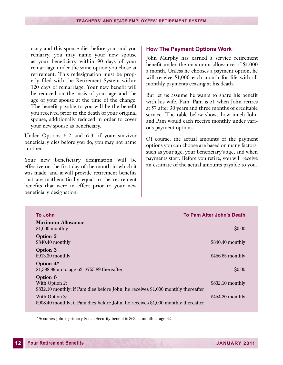<span id="page-13-0"></span>ciary and this spouse dies before you, and you remarry, you may name your new spouse as your beneficiary within 90 days of your remarriage under the same option you chose at retirement. This redesignation must be properly filed with the Retirement System within 120 days of remarriage. Your new benefit will be reduced on the basis of your age and the age of your spouse at the time of the change. The benefit payable to you will be the benefit you received prior to the death of your original spouse, additionally reduced in order to cover your new spouse as beneficiary.

Under Options 6-2 and 6-3, if your survivor beneficiary dies before you do, you may not name another.

Your new beneficiary designation will be effective on the first day of the month in which it was made, and it will provide retirement benefits that are mathematically equal to the retirement benefits that were in effect prior to your new beneficiary designation.

#### **How The Payment Options Work**

John Murphy has earned a service retirement benefit under the maximum allowance of \$1,000 a month. Unless he chooses a payment option, he will receive \$1,000 each month for life with all monthly payments ceasing at his death.

But let us assume he wants to share his benefit with his wife, Pam. Pam is 51 when John retires at 57 after 30 years and three months of creditable service. The table below shows how much John and Pam would each receive monthly under various payment options.

Of course, the actual amounts of the payment options you can choose are based on many factors, such as your age, your beneficiary's age, and when payments start. Before you retire, you will receive an estimate of the actual amounts payable to you.

| <b>To John</b>                                                                                                  | To Pam After John's Death |
|-----------------------------------------------------------------------------------------------------------------|---------------------------|
| <b>Maximum Allowance</b><br>$$1,000$ monthly                                                                    | \$0.00                    |
| Option 2<br>\$840.40 monthly                                                                                    | \$840.40 monthly          |
| Option 3<br>\$913.30 monthly                                                                                    | \$456.65 monthly          |
| Option $4*$<br>\$1,388.89 up to age 62, \$753.89 thereafter                                                     | \$0.00                    |
| Option 6<br>With Option 2:<br>\$832.10 monthly; if Pam dies before John, he receives \$1,000 monthly thereafter | \$832.10 monthly          |
| With Option 3:<br>\$908.40 monthly; if Pam dies before John, he receives \$1,000 monthly thereafter             | \$454.20 monthly          |

\*Assumes John's primary Social Security benefit is \$635 a month at age 62.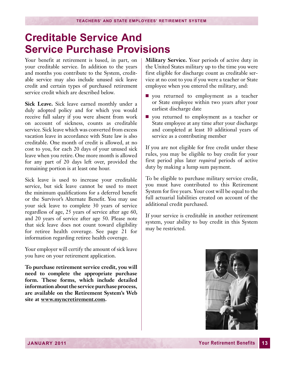### <span id="page-14-0"></span>**Creditable Service And Service Purchase Provisions**

Your benefit at retirement is based, in part, on your creditable service. In addition to the years and months you contribute to the System, creditable service may also include unused sick leave credit and certain types of purchased retirement service credit which are described below.

**Sick Leave.** Sick leave earned monthly under a duly adopted policy and for which you would receive full salary if you were absent from work on account of sickness, counts as creditable service. Sick leave which was converted from excess vacation leave in accordance with State law is also creditable. One month of credit is allowed, at no cost to you, for each 20 days of your unused sick leave when you retire. One more month is allowed for any part of 20 days left over, provided the remaining portion is at least one hour.

Sick leave is used to increase your creditable service, but sick leave cannot be used to meet the minimum qualifications for a deferred benefit or the Survivor's Alternate Benefit. You may use your sick leave to complete 30 years of service regardless of age, 25 years of service after age 60, and 20 years of service after age 50. Please note that sick leave does not count toward eligibility for retiree health coverage. See page 21 for information regarding retiree health coverage.

Your employer will certify the amount of sick leave you have on your retirement application.

**To purchase retirement service credit, you will need to complete the appropriate purchase form. These forms, which include detailed information about the service purchase process, are available on the Retirement System's Web site at www.myncretirement.com.**

**Military Service.** Your periods of active duty in the United States military up to the time you were first eligible for discharge count as creditable service at no cost to you if you were a teacher or State employee when you entered the military, and:

- vou returned to employment as a teacher or State employee within two years after your earliest discharge date
- you returned to employment as a teacher or State employee at any time after your discharge and completed at least 10 additional years of service as a contributing member

If you are not eligible for free credit under these rules, you may be eligible to buy credit for your first period plus later *required* periods of active duty by making a lump sum payment.

To be eligible to purchase military service credit, you must have contributed to this Retirement System for five years. Your cost will be equal to the full actuarial liabilities created on account of the additional credit purchased.

If your service is creditable in another retirement system, your ability to buy credit in this System may be restricted.

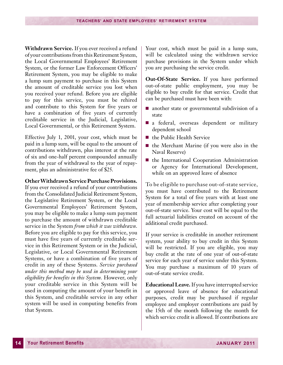**Withdrawn Service.** If you ever received a refund of your contributions from this Retirement System, the Local Governmental Employees' Retirement System, or the former Law Enforcement Officers' Retirement System, you may be eligible to make a lump sum payment to purchase in this System the amount of creditable service you lost when you received your refund. Before you are eligible to pay for this service, you must be rehired and contribute to this System for five years or have a combination of five years of currently creditable service in the Judicial, Legislative, Local Governmental, or this Retirement System.

Effective July 1, 2001, your cost, which must be paid in a lump sum, will be equal to the amount of contributions withdrawn, plus interest at the rate of six and one-half percent compounded annually from the year of withdrawal to the year of repayment, plus an administrative fee of \$25.

#### **Other Withdrawn Service Purchase Provisions.**

If you ever received a refund of your contributions from the Consolidated Judicial Retirement System, the Legislative Retirement System, or the Local Governmental Employees' Retirement System, you may be eligible to make a lump sum payment to purchase the amount of withdrawn creditable service in the System *from which it was withdrawn*. Before you are eligible to pay for this service, you must have five years of currently creditable service in this Retirement System or in the Judicial, Legislative, or Local Governmental Retirement Systems, or have a combination of five years of credit in any of these Systems. *Service purchased under this method may be used in determining your eligibility for benefits in this System.* However, only your creditable service in this System will be used in computing the amount of your benefit in this System, and creditable service in any other system will be used in computing benefits from that System.

Your cost, which must be paid in a lump sum, will be calculated using the withdrawn service purchase provisions in the System under which you are purchasing the service credit.

**Out-Of-State Service.** If you have performed out-of-state public employment, you may be eligible to buy credit for that service. Credit that can be purchased must have been with:

- $\blacksquare$  another state or governmental subdivision of a state
- n a federal, overseas dependent or military dependent school
- $\blacksquare$  the Public Health Service
- $\blacksquare$  the Merchant Marine (if you were also in the Naval Reserve)
- $\blacksquare$  the International Cooperation Administration or Agency for International Development, while on an approved leave of absence

To be eligible to purchase out-of-state service, you must have contributed to the Retirement System for a total of five years with at least one year of membership service after completing your out-of-state service. Your cost will be equal to the full actuarial liabilities created on account of the additional credit purchased.

If your service is creditable in another retirement system, your ability to buy credit in this System will be restricted. If you are eligible, you may buy credit at the rate of one year of out-of-state service for each year of service under this System. You may purchase a maximum of 10 years of out-of-state service credit.

**Educational Leave.** If you have interrupted service or approved leave of absence for educational purposes, credit may be purchased if regular employee and employer contributions are paid by the 15th of the month following the month for which service credit is allowed. If contributions are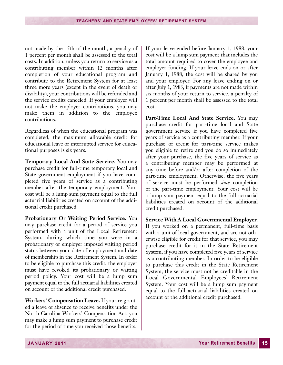not made by the 15th of the month, a penalty of 1 percent per month shall be assessed to the total costs. In addition, unless you return to service as a contributing member within 12 months after completion of your educational program and contribute to the Retirement System for at least three more years (except in the event of death or disability), your contributions will be refunded and the service credits canceled. If your employer will not make the employer contributions, you may make them in addition to the employee contributions.

Regardless of when the educational program was completed, the maximum allowable credit for educational leave or interrupted service for educational purposes is six years.

**Temporary Local And State Service.** You may purchase credit for full-time temporary local and State government employment if you have completed five years of service as a contributing member after the temporary employment. Your cost will be a lump sum payment equal to the full actuarial liabilities created on account of the additional credit purchased.

**Probationary Or Waiting Period Service.** You may purchase credit for a period of service you performed with a unit of the Local Retirement System, during which time you were in a probationary or employer imposed waiting period status between your date of employment and date of membership in the Retirement System. In order to be eligible to purchase this credit, the employer must have revoked its probationary or waiting period policy. Your cost will be a lump sum payment equal to the full actuarial liabilities created on account of the additional credit purchased.

**Workers' Compensation Leave.** If you are granted a leave of absence to receive benefits under the North Carolina Workers' Compensation Act, you may make a lump sum payment to purchase credit for the period of time you received those benefits.

If your leave ended before January 1, 1988, your cost will be a lump sum payment that includes the total amount required to cover the employee and employer funding. If your leave ends on or after January 1, 1988, the cost will be shared by you and your employer. For any leave ending on or after July 1, 1983, if payments are not made within six months of your return to service, a penalty of 1 percent per month shall be assessed to the total cost.

**Part-Time Local And State Service.** You may purchase credit for part-time local and State government service if you have completed five years of service as a contributing member. If your purchase of credit for part-time service makes you eligible to retire and you do so immediately after your purchase, the five years of service as a contributing member may be performed at any time before and/or after completion of the part-time employment. Otherwise, the five years of service must be performed *since* completion of the part-time employment. Your cost will be a lump sum payment equal to the full actuarial liabilities created on account of the additional credit purchased.

**Service With A Local Governmental Employer.** If you worked on a permanent, full-time basis with a unit of local government, and are not otherwise eligible for credit for that service, you may purchase credit for it in the State Retirement System, if you have completed five years of service as a contributing member. In order to be eligible to purchase this credit in the State Retirement System, the service must not be creditable in the Local Governmental Employees' Retirement System. Your cost will be a lump sum payment equal to the full actuarial liabilities created on account of the additional credit purchased.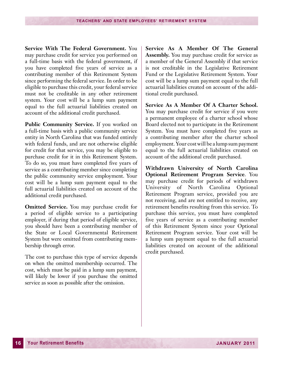**Service With The Federal Government.** You may purchase credit for service you performed on a full-time basis with the federal government, if you have completed five years of service as a contributing member of this Retirement System since performing the federal service. In order to be eligible to purchase this credit, your federal service must not be creditable in any other retirement system. Your cost will be a lump sum payment equal to the full actuarial liabilities created on account of the additional credit purchased.

**Public Community Service.** If you worked on a full-time basis with a public community service entity in North Carolina that was funded entirely with federal funds, and are not otherwise eligible for credit for that service, you may be eligible to purchase credit for it in this Retirement System. To do so, you must have completed five years of service as a contributing member since completing the public community service employment. Your cost will be a lump sum payment equal to the full actuarial liabilities created on account of the additional credit purchased.

**Omitted Service.** You may purchase credit for a period of eligible service to a participating employer, if during that period of eligible service, you should have been a contributing member of the State or Local Governmental Retirement System but were omitted from contributing membership through error.

The cost to purchase this type of service depends on when the omitted membership occurred. The cost, which must be paid in a lump sum payment, will likely be lower if you purchase the omitted service as soon as possible after the omission.

**Service As A Member Of The General Assembly.** You may purchase credit for service as a member of the General Assembly if that service is not creditable in the Legislative Retirement Fund or the Legislative Retirement System. Your cost will be a lump sum payment equal to the full actuarial liabilities created on account of the additional credit purchased.

**Service As A Member Of A Charter School.** You may purchase credit for service if you were a permanent employee of a charter school whose Board elected not to participate in the Retirement System. You must have completed five years as a contributing member after the charter school employment. Your cost will be a lump sum payment equal to the full actuarial liabilities created on account of the additional credit purchased.

**Withdrawn University of North Carolina Optional Retirement Program Service**. You may purchase credit for periods of withdrawn University of North Carolina Optional Retirement Program service, provided you are not receiving, and are not entitled to receive, any retirement benefits resulting from this service. To purchase this service, you must have completed five years of service as a contributing member of this Retirement System since your Optional Retirement Program service. Your cost will be a lump sum payment equal to the full actuarial liabilities created on account of the additional credit purchased.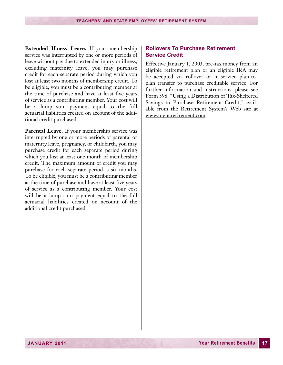<span id="page-18-0"></span>**Extended Illness Leave.** If your membership service was interrupted by one or more periods of leave without pay due to extended injury or illness, excluding maternity leave, you may purchase credit for each separate period during which you lost at least two months of membership credit. To be eligible, you must be a contributing member at the time of purchase and have at least five years of service as a contributing member. Your cost will be a lump sum payment equal to the full actuarial liabilities created on account of the additional credit purchased.

**Parental Leave.** If your membership service was interrupted by one or more periods of parental or maternity leave, pregnancy, or childbirth, you may purchase credit for each separate period during which you lost at least one month of membership credit. The maximum amount of credit you may purchase for each separate period is six months. To be eligible, you must be a contributing member at the time of purchase and have at least five years of service as a contributing member. Your cost will be a lump sum payment equal to the full actuarial liabilities created on account of the additional credit purchased.

#### **Rollovers To Purchase Retirement Service Credit**

Effective January 1, 2003, pre-tax money from an eligible retirement plan or an eligible IRA may be accepted via rollover or in-service plan-toplan transfer to purchase creditable service. For further information and instructions, please see Form 398, "Using a Distribution of Tax-Sheltered Savings to Purchase Retirement Credit," available from the Retirement System's Web site at www.myncretirement.com.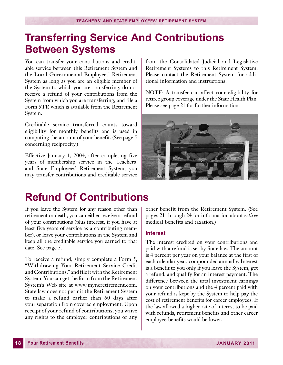### <span id="page-19-0"></span>**Transferring Service And Contributions Between Systems**

You can transfer your contributions and creditable service between this Retirement System and the Local Governmental Employees' Retirement System as long as you are an eligible member of the System to which you are transferring, do not receive a refund of your contributions from the System from which you are transferring, and file a Form 5TR which is available from the Retirement System.

Creditable service transferred counts toward eligibility for monthly benefits and is used in computing the amount of your benefit. (See page 5 concerning reciprocity.)

Effective January 1, 2004, after completing five years of membership service in the Teachers' and State Employees' Retirement System, you may transfer contributions and creditable service from the Consolidated Judicial and Legislative Retirement Systems to this Retirement System. Please contact the Retirement System for additional information and instructions.

NOTE: A transfer can affect your eligibility for retiree group coverage under the State Health Plan. Please see page 21 for further information.



### **Refund Of Contributions**

If you leave the System for any reason other than retirement or death, you can either receive a refund of your contributions (plus interest, if you have at least five years of service as a contributing member), or leave your contributions in the System and keep all the creditable service you earned to that date. See page 5.

To receive a refund, simply complete a Form 5, "Withdrawing Your Retirement Service Credit and Contributions," and file it with the Retirement System. You can get the form from the Retirement System's Web site at www.myncretirement.com. State law does not permit the Retirement System to make a refund earlier than 60 days after your separation from covered employment. Upon receipt of your refund of contributions, you waive any rights to the employer contributions or any other benefit from the Retirement System. (See pages 21 through 24 for information about *retiree* medical benefits and taxation.)

#### **Interest**

The interest credited on your contributions and paid with a refund is set by State law. The amount is 4 percent per year on your balance at the first of each calendar year, compounded annually. Interest is a benefit to you only if you leave the System, get a refund, and qualify for an interest payment. The difference between the total investment earnings on your contributions and the 4 percent paid with your refund is kept by the System to help pay the cost of retirement benefits for career employees. If the law allowed a higher rate of interest to be paid with refunds, retirement benefits and other career employee benefits would be lower.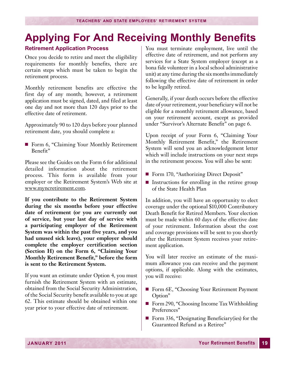# <span id="page-20-0"></span>**Applying For And Receiving Monthly Benefits**

#### **Retirement Application Process**

Once you decide to retire and meet the eligibility requirements for monthly benefits, there are certain steps which must be taken to begin the retirement process.

Monthly retirement benefits are effective the first day of any month; however, a retirement application must be signed, dated, and filed at least one day and not more than 120 days prior to the effective date of retirement.

Approximately 90 to 120 days before your planned retirement date, you should complete a:

■ Form 6, "Claiming Your Monthly Retirement Benefit"

Please see the Guides on the Form 6 for additional detailed information about the retirement process. This form is available from your employer or the Retirement System's Web site at www.myncretirement.com.

**If you contribute to the Retirement System during the six months before your effective date of retirement (or you are currently out of service, but your last day of service with a participating employer of the Retirement System was within the past five years, and you had unused sick leave), your employer should complete the employer certification section (Section H) on the Form 6, "Claiming Your Monthly Retirement Benefit," before the form is sent to the Retirement System.**

If you want an estimate under Option 4, you must furnish the Retirement System with an estimate, obtained from the Social Security Administration, of the Social Security benefit available to you at age 62. This estimate should be obtained within one year prior to your effective date of retirement.

You must terminate employment, live until the effective date of retirement, and not perform any services for a State System employer (except as a bona fide volunteer in a local school administrative unit) at any time during the six monthsimmediately following the effective date of retirement in order to be legally retired.

Generally, if your death occurs before the effective date of your retirement, your beneficiary will not be eligible for a monthly retirement allowance, based on your retirement account, except as provided under "Survivor's Alternate Benefit" on page 6.

Upon receipt of your Form 6, "Claiming Your Monthly Retirement Benefit," the Retirement System will send you an acknowledgement letter which will include instructions on your next steps in the retirement process. You will also be sent:

- Form 170, "Authorizing Direct Deposit"
- $\blacksquare$  Instructions for enrolling in the retiree group of the State Health Plan

In addition, you will have an opportunity to elect coverage under the optional \$10,000 Contributory Death Benefit for Retired Members. Your election must be made within 60 days of the effective date of your retirement. Information about the cost and coverage provisions will be sent to you shortly after the Retirement System receives your retirement application.

You will later receive an estimate of the maximum allowance you can receive and the payment options, if applicable. Along with the estimates, you will receive:

- Form 6E, "Choosing Your Retirement Payment Option"
- Form 290, "Choosing Income Tax Withholding Preferences"
- Form 336, "Designating Beneficiary(ies) for the Guaranteed Refund as a Retiree"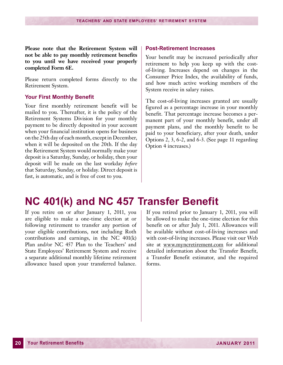<span id="page-21-0"></span>**Please note that the Retirement System will not be able to pay monthly retirement benefits to you until we have received your properly completed Form 6E.**

Please return completed forms directly to the Retirement System.

#### **Your First Monthly Benefit**

Your first monthly retirement benefit will be mailed to you. Thereafter, it is the policy of the Retirement Systems Division for your monthly payment to be directly deposited in your account when your financial institution opens for business on the 25th day of each month, except in December, when it will be deposited on the 20th. If the day the Retirement System would normally make your deposit is a Saturday, Sunday, or holiday, then your deposit will be made on the last workday *before* that Saturday, Sunday, or holiday. Direct deposit is fast, is automatic, and is free of cost to you.

#### **Post-Retirement Increases**

Your benefit may be increased periodically after retirement to help you keep up with the costof-living. Increases depend on changes in the Consumer Price Index, the availability of funds, and how much active working members of the System receive in salary raises.

The cost-of-living increases granted are usually figured as a percentage increase in your monthly benefit. That percentage increase becomes a permanent part of your monthly benefit, under all payment plans, and the monthly benefit to be paid to your beneficiary, after your death, under Options 2, 3, 6-2, and 6-3. (See page 11 regarding Option 4 increases.)

### **NC 401(k) and NC 457 Transfer Benefit**

If you retire on or after January 1, 2011, you are eligible to make a one-time election at or following retirement to transfer any portion of your eligible contributions, not including Roth contributions and earnings, in the NC 401(k) Plan and/or NC 457 Plan to the Teachers' and State Employees' Retirement System and receive a separate additional monthly lifetime retirement allowance based upon your transferred balance.

If you retired prior to January 1, 2011, you will be allowed to make the one-time election for this benefit on or after July 1, 2011. Allowances will be available without cost-of-living increases and with cost-of-living increases. Please visit our Web site at www.myncretirement.com for additional detailed information about the Transfer Benefit, a Transfer Benefit estimator, and the required forms.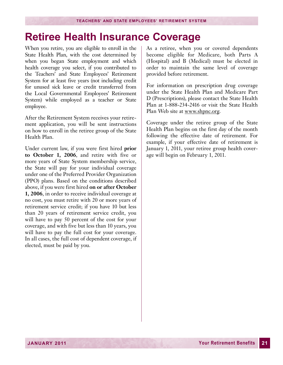# <span id="page-22-0"></span>**Retiree Health Insurance Coverage**

When you retire, you are eligible to enroll in the State Health Plan, with the cost determined by when you began State employment and which health coverage you select, if you contributed to the Teachers' and State Employees' Retirement System for at least five years (not including credit for unused sick leave or credit transferred from the Local Governmental Employees' Retirement System) while employed as a teacher or State employee.

After the Retirement System receives your retirement application, you will be sent instructions on how to enroll in the retiree group of the State Health Plan.

Under current law, if you were first hired **prior to October 1, 2006**, and retire with five or more years of State System membership service, the State will pay for your individual coverage under one of the Preferred Provider Organization (PPO) plans. Based on the conditions described above, if you were first hired **on or after October 1, 2006**, in order to receive individual coverage at no cost, you must retire with 20 or more years of retirement service credit; if you have 10 but less than 20 years of retirement service credit, you will have to pay 50 percent of the cost for your coverage, and with five but less than 10 years, you will have to pay the full cost for your coverage. In all cases, the full cost of dependent coverage, if elected, must be paid by you.

As a retiree, when you or covered dependents become eligible for Medicare, both Parts A (Hospital) and B (Medical) must be elected in order to maintain the same level of coverage provided before retirement.

For information on prescription drug coverage under the State Health Plan and Medicare Part D (Prescriptions), please contact the State Health Plan at 1-888-234-2416 or visit the State Health Plan Web site at www.shpnc.org.

Coverage under the retiree group of the State Health Plan begins on the first day of the month following the effective date of retirement. For example, if your effective date of retirement is January 1, 2011, your retiree group health coverage will begin on February 1, 2011.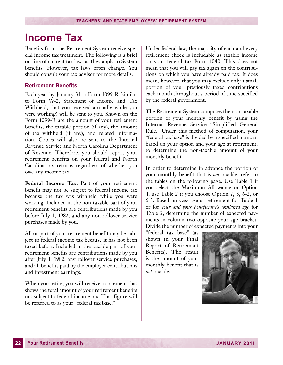### <span id="page-23-0"></span>**Income Tax**

Benefits from the Retirement System receive special income tax treatment. The following is a brief outline of current tax laws as they apply to System benefits. However, tax laws often change. You should consult your tax advisor for more details.

#### **Retirement Benefits**

Each year by January 31, a Form 1099-R (similar to Form W-2, Statement of Income and Tax Withheld, that you received annually while you were working) will be sent to you. Shown on the Form 1099-R are the amount of your retirement benefits, the taxable portion (if any), the amount of tax withheld (if any), and related information. Copies will also be sent to the Internal Revenue Service and North Carolina Department of Revenue. Therefore, you should report your retirement benefits on your federal and North Carolina tax returns regardless of whether you owe any income tax.

**Federal Income Tax.** Part of your retirement benefit may not be subject to federal income tax because the tax was withheld while you were working. Included in the non-taxable part of your retirement benefits are contributions made by you before July 1, 1982, and any non-rollover service purchases made by you.

All or part of your retirement benefit may be subject to federal income tax because it has not been taxed before. Included in the taxable part of your retirement benefits are contributions made by you after July 1, 1982, any rollover service purchases, and all benefits paid by the employer contributions and investment earnings.

When you retire, you will receive a statement that shows the total amount of your retirement benefits not subject to federal income tax. That figure will be referred to as your "federal tax base."

Under federal law, the majority of each and every retirement check is includable as taxable income on your federal tax Form 1040. This does not mean that you will pay tax again on the contributions on which you have already paid tax. It does mean, however, that you may exclude only a small portion of your previously taxed contributions each month throughout a period of time specified by the federal government.

The Retirement System computes the non-taxable portion of your monthly benefit by using the Internal Revenue Service "Simplified General Rule." Under this method of computation, your "federal tax base" is divided by a specified number, based on your option and your age at retirement, to determine the non-taxable amount of your monthly benefit.

In order to determine in advance the portion of your monthly benefit that is *not* taxable, refer to the tables on the following page. Use Table 1 if you select the Maximum Allowance or Option 4; use Table 2 if you choose Option 2, 3, 6-2, or 6-3. Based on *your* age at retirement for Table 1 or for *your and your beneficiary's combined age* for Table 2, determine the number of expected payments in column two opposite your age bracket. Divide the number of expected payments into your

"federal tax base" (as shown in your Final Report of Retirement Benefits). The result is the amount of your monthly benefit that is *not* taxable.

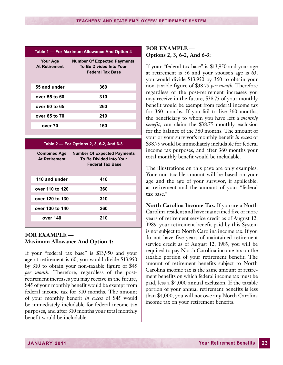| Table 1 - For Maximum Allowance And Option 4 |                                                                                          |  |
|----------------------------------------------|------------------------------------------------------------------------------------------|--|
| Your Age<br><b>At Retirement</b>             | <b>Number Of Expected Payments</b><br><b>To Be Divided Into Your</b><br>Federal Tax Base |  |
| 55 and under                                 | 360                                                                                      |  |
| over 55 to 60                                | 310                                                                                      |  |
| over 60 to 65                                | 260                                                                                      |  |
| over 65 to 70                                | 210                                                                                      |  |
| over 70                                      | 160                                                                                      |  |

|                                             | Table 2 – For Options 2, 3, 6-2, And 6-3                                          |
|---------------------------------------------|-----------------------------------------------------------------------------------|
| <b>Combined Age</b><br><b>At Retirement</b> | <b>Number Of Expected Payments</b><br>To Be Divided Into Your<br>Federal Tax Base |
| 110 and under                               | 410                                                                               |
| over 110 to 120                             | 360                                                                               |
| over 120 to 130                             | 310                                                                               |
| over 130 to 140                             | 260                                                                               |
| over 140                                    | 210                                                                               |

#### **FOR EXAMPLE — Maximum Allowance And Option 4:**

If your "federal tax base" is \$13,950 and your age at retirement is 60, you would divide \$13,950 by 310 to obtain your non-taxable figure of \$45 *per month*. Therefore, regardless of the postretirement increases you may receive in the future, \$45 of your monthly benefit would be exempt from federal income tax for 310 months. The amount of your monthly benefit *in excess* of \$45 would be immediately includable for federal income tax purposes, and after 310 months your total monthly benefit would be includable.

#### **FOR EXAMPLE — Options 2, 3, 6-2, And 6-3:**

If your "federal tax base" is \$13,950 and your age at retirement is 56 and your spouse's age is 63, you would divide \$13,950 by 360 to obtain your non-taxable figure of \$38.75 *per month*. Therefore regardless of the post-retirement increases you may receive in the future, \$38.75 of your monthly benefit would be exempt from federal income tax for 360 months. If you fail to live 360 months, the beneficiary to whom you have left a *monthly benefit*, can claim the \$38.75 monthly exclusion for the balance of the 360 months. The amount of your or your survivor's monthly benefit *in excess* of \$38.75 would be immediately includable for federal income tax purposes, and after 360 months your total monthly benefit would be includable.

The illustrations on this page are only examples. Your non-taxable amount will be based on your age and the age of your survivor, if applicable, at retirement and the amount of your "federal tax base."

**North Carolina Income Tax.** If you are a North Carolina resident and have maintained five or more years of retirement service credit as of August 12, 1989, your retirement benefit paid by this System is not subject to North Carolina income tax. If you do not have five years of maintained retirement service credit as of August 12, 1989, you will be required to pay North Carolina income tax on the taxable portion of your retirement benefit. The amount of retirement benefits subject to North Carolina income tax is the same amount of retirement benefits on which federal income tax must be paid, less a \$4,000 annual exclusion. If the taxable portion of your annual retirement benefits is less than \$4,000, you will not owe any North Carolina income tax on your retirement benefits.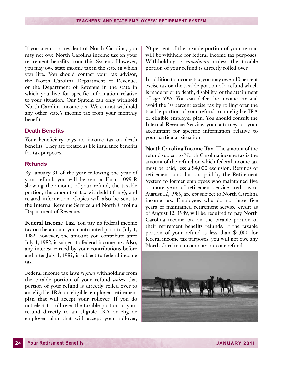<span id="page-25-0"></span>If you are not a resident of North Carolina, you may not owe North Carolina income tax on your retirement benefits from this System. However, you may owe state income tax in the state in which you live. You should contact your tax advisor, the North Carolina Department of Revenue, or the Department of Revenue in the state in which you live for specific information relative to your situation. Our System can only withhold North Carolina income tax. We cannot withhold any other state's income tax from your monthly benefit.

#### **Death Benefits**

Your beneficiary pays no income tax on death benefits. They are treated as life insurance benefits for tax purposes.

#### **Refunds**

By January 31 of the year following the year of your refund, you will be sent a Form 1099-R showing the amount of your refund, the taxable portion, the amount of tax withheld (if any), and related information. Copies will also be sent to the Internal Revenue Service and North Carolina Department of Revenue.

**Federal Income Tax.** You pay no federal income tax on the amount you contributed prior to July 1, 1982; however, the amount you contribute after July 1, 1982, is subject to federal income tax. Also, any interest earned by your contributions before and after July 1, 1982, is subject to federal income tax.

Federal income tax laws *require* withholding from the taxable portion of your refund *unless* that portion of your refund is directly rolled over to an eligible IRA or eligible employer retirement plan that will accept your rollover. If you do not elect to roll over the taxable portion of your refund directly to an eligible IRA or eligible employer plan that will accept your rollover,

20 percent of the taxable portion of your refund will be withheld for federal income tax purposes. Withholding is *mandatory* unless the taxable portion of your refund is directly rolled over.

In addition to income tax, you may owe a 10 percent excise tax on the taxable portion of a refund which is made prior to death, disability, or the attainment of age 591/2. You can defer the income tax and avoid the 10 percent excise tax by rolling over the taxable portion of your refund to an eligible IRA or eligible employer plan. You should consult the Internal Revenue Service, your attorney, or your accountant for specific information relative to your particular situation.

**North Carolina Income Tax.** The amount of the refund subject to North Carolina income tax is the amount of the refund on which federal income tax must be paid, less a \$4,000 exclusion. Refunds of retirement contributions paid by the Retirement System to former employees who maintained five or more years of retirement service credit as of August 12, 1989, are *not* subject to North Carolina income tax. Employees who do not have five years of maintained retirement service credit as of August 12, 1989, will be required to pay North Carolina income tax on the taxable portion of their retirement benefits refunds. If the taxable portion of your refund is less than \$4,000 for federal income tax purposes, you will not owe any North Carolina income tax on your refund.

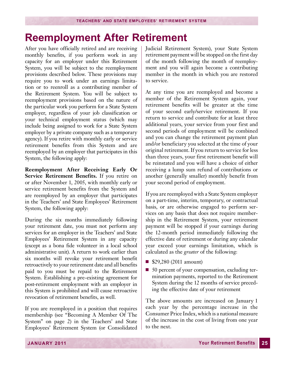### <span id="page-26-0"></span>**Reemployment After Retirement**

After you have officially retired and are receiving monthly benefits, if you perform work in any capacity for an employer under this Retirement System, you will be subject to the reemployment provisions described below. These provisions may require you to work under an earnings limitation or to reenroll as a contributing member of the Retirement System. You will be subject to reemployment provisions based on the nature of the particular work you perform for a State System employer, regardless of your job classification or your technical employment status (which may include being assigned to work for a State System employer by a private company such as a temporary agency). If you retire with monthly early or service retirement benefits from this System and are reemployed by an employer that participates in this System, the following apply:

**Reemployment After Receiving Early Or Service Retirement Benefits.** If you retire on or after November 1, 2005, with monthly early or service retirement benefits from the System and are reemployed by an employer that participates in the Teachers' and State Employees' Retirement System, the following apply:

During the six months immediately following your retirement date, you must not perform any services for an employer in the Teachers' and State Employees' Retirement System in any capacity (except as a bona fide volunteer in a local school administrative unit). A return to work earlier than six months will revoke your retirement benefit retroactively to your retirement date and all benefits paid to you must be repaid to the Retirement System. Establishing a pre-existing agreement for post-retirement employment with an employer in this System is prohibited and will cause retroactive revocation of retirement benefits, as well.

If you are reemployed in a position that requires membership (see "Becoming A Member Of The System" on page 2) in the Teachers' and State Employees' Retirement System (or Consolidated Judicial Retirement System), your State System retirement payment will be stopped on the first day of the month following the month of reemployment and you will again become a contributing member in the month in which you are restored to service.

At any time you are reemployed and become a member of the Retirement System again, your retirement benefits will be greater at the time of your second early/service retirement. If you return to service and contribute for at least three additional years, your service from your first and second periods of employment will be combined and you can change the retirement payment plan and/or beneficiary you selected at the time of your original retirement. If you return to service for less than three years, your first retirement benefit will be reinstated and you will have a choice of either receiving a lump sum refund of contributions or another (generally smaller) monthly benefit from your second period of employment.

If you are reemployed with a State System employer on a part-time, interim, temporary, or contractual basis, or are otherwise engaged to perform services on any basis that does not require membership in the Retirement System, your retirement payment will be stopped if your earnings during the 12-month period immediately following the effective date of retirement or during any calendar year exceed your earnings limitation, which is calculated as the *greater* of the following:

- \$29,280 (2011 amount)
- 50 percent of your compensation, excluding termination payments, reported to the Retirement System during the 12 months of service preceding the effective date of your retirement

The above amounts are increased on January 1 each year by the percentage increase in the Consumer Price Index, which is a national measure of the increase in the cost of living from one year to the next.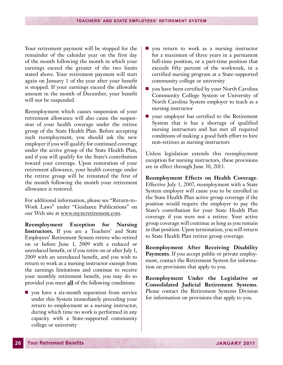Your retirement payment will be stopped for the remainder of the calendar year on the first day of the month following the month in which your earnings exceed the greater of the two limits stated above. Your retirement payment will start again on January 1 of the year after your benefit is stopped. If your earnings exceed the allowable amount in the month of December, your benefit will not be suspended.

Reemployment which causes suspension of your retirement allowance will also cause the suspension of your health coverage under the retiree group of the State Health Plan. Before accepting such reemployment, you should ask the new employer if you will qualify for continued coverage under the active group of the State Health Plan, and if you will qualify for the State's contribution toward your coverage. Upon restoration of your retirement allowance, your health coverage under the retiree group will be reinstated the first of the month following the month your retirement allowance is restored.

For additional information, please see "Return-to-Work Laws" under "Guidance Publications" on our Web site at www.myncretirement.com.

**Reemployment Exception for Nursing Instructors.** If you are a Teachers' and State Employees' Retirement System retiree who retired on or before June 1, 2009 with a reduced or unreduced benefit, or if you retire on or after July 1, 2009 with an unreduced benefit, and you wish to return to work as a nursing instructor exempt from the earnings limitations and continue to receive your monthly retirement benefit, you may do so provided you meet **all** of the following conditions:

 $\Box$  you have a six-month separation from service under this System immediately preceding your return to employment as a nursing instructor, during which time no work is performed in any capacity with a State-supported community college or university

- **n** you return to work as a nursing instructor for a maximum of three years in a permanent full-time position, or a part-time position that exceeds fifty percent of the workweek, in a certified nursing program at a State-supported community college or university
- $\blacksquare$  you have been certified by your North Carolina Community College System or University of North Carolina System employer to teach as a nursing instructor
- your employer has certified to the Retirement System that it has a shortage of qualified nursing instructors and has met all required conditions of making a good faith effort to hire non-retirees as nursing instructors

Unless legislation extends this reemployment exception for nursing instructors, these provisions are in effect through June 30, 2013.

**Reemployment Effects on Health Coverage**. Effective July 1, 2007, reemployment with a State System employer will cause you to be enrolled in the State Health Plan active group coverage if the position would require the employer to pay the State's contribution for your State Health Plan coverage if you were not a retiree. Your active group coverage will continue as long as you remain in that position. Upon termination, you will return to State Health Plan retiree group coverage.

**Reemployment After Receiving Disability Payments**. If you accept public or private employment, contact the Retirement System for information on provisions that apply to you.

**Reemployment Under the Legislative or Consolidated Judicial Retirement Systems**. Please contact the Retirement Systems Division for information on provisions that apply to you.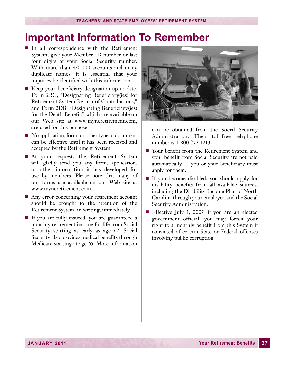### <span id="page-28-0"></span>**Important Information To Remember**

- n In all correspondence with the Retirement System, give your Member ID number or last four digits of your Social Security number. With more than 850,000 accounts and many duplicate names, it is essential that your inquiries be identified with this information.
- Keep your beneficiary designation up-to-date. Form 2RC, "Designating Beneficiary(ies) for Retirement System Return of Contributions," and Form 2DB, "Designating Beneficiary(ies) for the Death Benefit," which are available on our Web site at www.myncretirement.com, are used for this purpose.
- $\blacksquare$  No application, form, or other type of document can be effective until it has been received and accepted by the Retirement System.
- **n** At your request, the Retirement System will gladly send you any form, application, or other information it has developed for use by members. Please note that many of our forms are available on our Web site at www.myncretirement.com.
- Any error concerning your retirement account should be brought to the attention of the Retirement System, in writing, immediately.
- $\blacksquare$  If you are fully insured, you are guaranteed a monthly retirement income for life from Social Security starting as early as age 62. Social Security also provides medical benefits through Medicare starting at age 65. More information



can be obtained from the Social Security Administration. Their toll-free telephone number is 1-800-772-1213.

- Your benefit from the Retirement System and your benefit from Social Security are not paid automatically — you or your beneficiary must apply for them.
- n If you become disabled, you should apply for disability benefits from all available sources, including the Disability Income Plan of North Carolina through your employer, and the Social Security Administration.
- Effective July 1, 2007, if you are an elected government official, you may forfeit your right to a monthly benefit from this System if convicted of certain State or Federal offenses involving public corruption.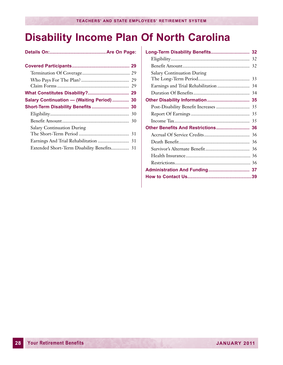# <span id="page-29-0"></span>**Disability Income Plan Of North Carolina**

| Salary Continuation - (Waiting Period)  30 |  |
|--------------------------------------------|--|
| Short-Term Disability Benefits 30          |  |
|                                            |  |
|                                            |  |
| <b>Salary Continuation During</b>          |  |
|                                            |  |
|                                            |  |
|                                            |  |
|                                            |  |

| Long-Term Disability Benefits 32   |  |
|------------------------------------|--|
|                                    |  |
|                                    |  |
| <b>Salary Continuation During</b>  |  |
|                                    |  |
|                                    |  |
|                                    |  |
|                                    |  |
|                                    |  |
|                                    |  |
|                                    |  |
| Other Benefits And Restrictions 36 |  |
|                                    |  |
|                                    |  |
|                                    |  |
|                                    |  |
|                                    |  |
|                                    |  |
|                                    |  |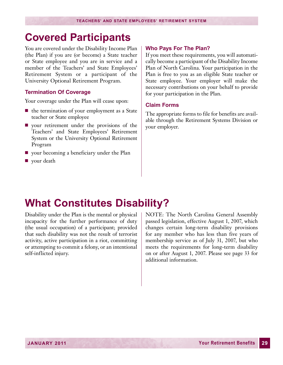### <span id="page-30-0"></span>**Covered Participants**

You are covered under the Disability Income Plan (the Plan) if you are (or become) a State teacher or State employee and you are in service and a member of the Teachers' and State Employees' Retirement System or a participant of the University Optional Retirement Program.

#### **Termination Of Coverage**

Your coverage under the Plan will cease upon:

- $\blacksquare$  the termination of your employment as a State teacher or State employee
- $\blacksquare$  your retirement under the provisions of the Teachers' and State Employees' Retirement System or the University Optional Retirement Program
- $\Box$  your becoming a beneficiary under the Plan
- $\blacksquare$  your death

#### **Who Pays For The Plan?**

If you meet these requirements, you will automatically become a participant of the Disability Income Plan of North Carolina. Your participation in the Plan is free to you as an eligible State teacher or State employee. Your employer will make the necessary contributions on your behalf to provide for your participation in the Plan.

#### **Claim Forms**

The appropriate forms to file for benefits are available through the Retirement Systems Division or your employer.

### **What Constitutes Disability?**

Disability under the Plan is the mental or physical incapacity for the further performance of duty (the usual occupation) of a participant; provided that such disability was not the result of terrorist activity, active participation in a riot, committing or attempting to commit a felony, or an intentional self-inflicted injury.

NOTE: The North Carolina General Assembly passed legislation, effective August 1, 2007, which changes certain long-term disability provisions for any member who has less than five years of membership service as of July 31, 2007, but who meets the requirements for long-term disability on or after August 1, 2007. Please see page 33 for additional information.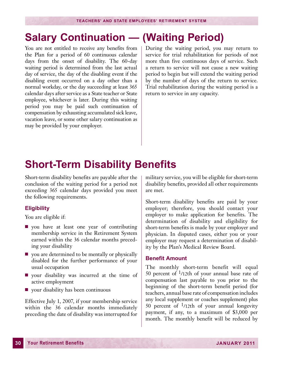### <span id="page-31-0"></span>**Salary Continuation — (Waiting Period)**

You are not entitled to receive any benefits from the Plan for a period of 60 continuous calendar days from the onset of disability. The 60-day waiting period is determined from the last actual day of service, the day of the disabling event if the disabling event occurred on a day other than a normal workday, or the day succeeding at least 365 calendar days after service as a State teacher or State employee, whichever is later. During this waiting period you may be paid such continuation of compensation by exhausting accumulated sick leave, vacation leave, or some other salary continuation as may be provided by your employer.

During the waiting period, you may return to service for trial rehabilitation for periods of not more than five continuous days of service. Such a return to service will not cause a new waiting period to begin but will extend the waiting period by the number of days of the return to service. Trial rehabilitation during the waiting period is a return to service in any capacity.

### **Short-Term Disability Benefits**

Short-term disability benefits are payable after the conclusion of the waiting period for a period not exceeding 365 calendar days provided you meet the following requirements.

#### **Eligibility**

You are eligible if:

- $\Box$  you have at least one year of contributing membership service in the Retirement System earned within the 36 calendar months preceding your disability
- $\blacksquare$  you are determined to be mentally or physically disabled for the further performance of your usual occupation
- $\blacksquare$  your disability was incurred at the time of active employment
- $\Box$  your disability has been continuous

Effective July 1, 2007, if your membership service within the 36 calendar months immediately preceding the date of disability was interrupted for military service, you will be eligible for short-term disability benefits, provided all other requirements are met.

Short-term disability benefits are paid by your employer; therefore, you should contact your employer to make application for benefits. The determination of disability and eligibility for short-term benefits is made by your employer and physician. In disputed cases, either you or your employer may request a determination of disability by the Plan's Medical Review Board.

#### **Benefit Amount**

The monthly short-term benefit will equal 50 percent of  $\frac{1}{12}$ th of your annual base rate of compensation last payable to you prior to the beginning of the short-term benefit period (for teachers, annual base rate of compensation includes any local supplement or coaches supplement) plus 50 percent of  $\frac{1}{12}$ th of your annual longevity payment, if any, to a maximum of \$3,000 per month. The monthly benefit will be reduced by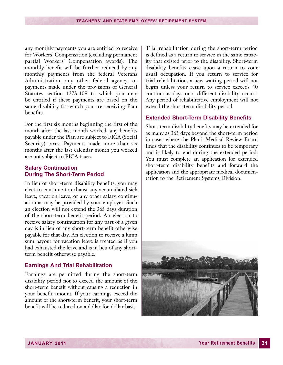any monthly payments you are entitled to receive for Workers' Compensation (excluding permanent partial Workers' Compensation awards). The monthly benefit will be further reduced by any monthly payments from the federal Veterans Administration, any other federal agency, or payments made under the provisions of General Statutes section 127A-108 to which you may be entitled if these payments are based on the same disability for which you are receiving Plan benefits.

For the first six months beginning the first of the month after the last month worked, any benefits payable under the Plan are subject to FICA (Social Security) taxes. Payments made more than six months after the last calendar month you worked are not subject to FICA taxes.

#### **Salary Continuation During The Short-Term Period**

In lieu of short-term disability benefits, you may elect to continue to exhaust any accumulated sick leave, vacation leave, or any other salary continuation as may be provided by your employer. Such an election will not extend the 365 days duration of the short-term benefit period. An election to receive salary continuation for any part of a given day is in lieu of any short-term benefit otherwise payable for that day. An election to receive a lump sum payout for vacation leave is treated as if you had exhausted the leave and is in lieu of any shortterm benefit otherwise payable.

#### **Earnings And Trial Rehabilitation**

Earnings are permitted during the short-term disability period not to exceed the amount of the short-term benefit without causing a reduction in your benefit amount. If your earnings exceed the amount of the short-term benefit, your short-term benefit will be reduced on a dollar-for-dollar basis.

Trial rehabilitation during the short-term period is defined as a return to service in the same capacity that existed prior to the disability. Short-term disability benefits cease upon a return to your usual occupation. If you return to service for trial rehabilitation, a new waiting period will not begin unless your return to service exceeds 40 continuous days or a different disability occurs. Any period of rehabilitative employment will not extend the short-term disability period.

#### **Extended Short-Term Disability Benefits**

Short-term disability benefits may be extended for as many as 365 days beyond the short-term period in cases where the Plan's Medical Review Board finds that the disability continues to be temporary and is likely to end during the extended period. You must complete an application for extended short-term disability benefits and forward the application and the appropriate medical documentation to the Retirement Systems Division.

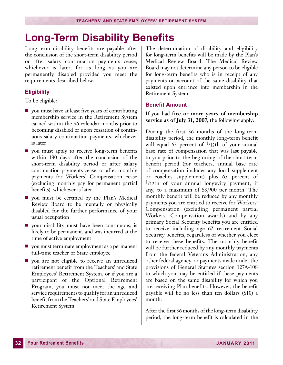### <span id="page-33-0"></span>**Long-Term Disability Benefits**

Long-term disability benefits are payable after the conclusion of the short-term disability period or after salary continuation payments cease, whichever is later, for as long as you are permanently disabled provided you meet the requirements described below.

#### **Eligibility**

To be eligible:

- $\Box$  you must have at least five years of contributing membership service in the Retirement System earned within the 96 calendar months prior to becoming disabled or upon cessation of continuous salary continuation payments, whichever is later
- **n** you must apply to receive long-term benefits within 180 days after the conclusion of the short-term disability period or after salary continuation payments cease, or after monthly payments for Workers' Compensation cease (excluding monthly pay for permanent partial benefits), whichever is later
- $\blacksquare$  you must be certified by the Plan's Medical Review Board to be mentally or physically disabled for the further performance of your usual occupation
- your disability must have been continuous, is likely to be permanent, and was incurred at the time of active employment
- $\Box$  you must terminate employment as a permanent full-time teacher or State employee
- you are not eligible to receive an unreduced retirement benefit from the Teachers' and State Employees' Retirement System, or if you are a participant of the Optional Retirement Program, you must not meet the age and service requirements to qualify for an unreduced benefit from the Teachers' and State Employees' Retirement System

The determination of disability and eligibility for long-term benefits will be made by the Plan's Medical Review Board. The Medical Review Board may not determine any person to be eligible for long-term benefits who is in receipt of any payments on account of the same disability that existed upon entrance into membership in the Retirement System.

#### **Benefit Amount**

If you had **five or more years of membership service as of July 31, 2007**, the following apply:

During the first 36 months of the long-term disability period, the monthly long-term benefit will equal 65 percent of  $\frac{1}{12}$ th of your annual base rate of compensation that was last payable to you prior to the beginning of the short-term benefit period (for teachers, annual base rate of compensation includes any local supplement or coaches supplement) plus 65 percent of  $\frac{1}{12}$ th of your annual longevity payment, if any, to a maximum of \$3,900 per month. The monthly benefit will be reduced by any monthly payments you are entitled to receive for Workers' Compensation (excluding permanent partial Workers' Compensation awards) and by any primary Social Security benefits you are entitled to receive including age 62 retirement Social Security benefits, regardless of whether you elect to receive these benefits. The monthly benefit will be further reduced by any monthly payments from the federal Veterans Administration, any other federal agency, or payments made under the provisions of General Statutes section 127A-108 to which you may be entitled if these payments are based on the same disability for which you are receiving Plan benefits. However, the benefit payable will be no less than ten dollars (\$10) a month.

After the first 36 months of the long-term disability period, the long-term benefit is calculated in the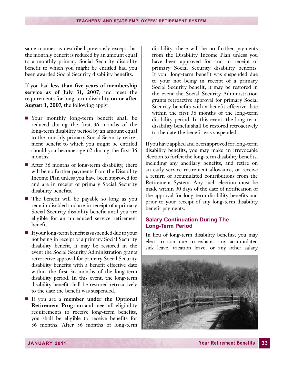same manner as described previously except that the monthly benefit is reduced by an amount equal to a monthly primary Social Security disability benefit to which you might be entitled had you been awarded Social Security disability benefits.

If you had **less than five years of membership service as of July 31, 2007**, and meet the requirements for long-term disability **on or after August 1, 2007**, the following apply:

- **Nour** monthly long-term benefit shall be reduced during the first 36 months of the long-term disability period by an amount equal to the monthly primary Social Security retirement benefit to which you might be entitled should you become age 62 during the first 36 months.
- $\blacksquare$  After 36 months of long-term disability, there will be no further payments from the Disability Income Plan unless you have been approved for and are in receipt of primary Social Security disability benefits.
- n The benefit will be payable so long as you remain disabled and are in receipt of a primary Social Security disability benefit until you are eligible for an unreduced service retirement benefit.
- $\blacksquare$  If your long-term benefit is suspended due to your not being in receipt of a primary Social Security disability benefit, it may be restored in the event the Social Security Administration grants retroactive approval for primary Social Security disability benefits with a benefit effective date within the first 36 months of the long-term disability period. In this event, the long-term disability benefit shall be restored retroactively to the date the benefit was suspended.
- n If you are a **member under the Optional Retirement Program** and meet all eligibility requirements to receive long-term benefits, you shall be eligible to receive benefits for 36 months. After 36 months of long-term

disability, there will be no further payments from the Disability Income Plan unless you have been approved for and in receipt of primary Social Security disability benefits. If your long-term benefit was suspended due to your not being in receipt of a primary Social Security benefit, it may be restored in the event the Social Security Administration grants retroactive approval for primary Social Security benefits with a benefit effective date within the first 36 months of the long-term disability period. In this event, the long-term disability benefit shall be restored retroactively to the date the benefit was suspended.

If you have applied and been approved for long-term disability benefits, you may make an irrevocable election to forfeit the long-term disability benefits, including any ancillary benefits, and retire on an early service retirement allowance, or receive a return of accumulated contributions from the Retirement System. Any such election must be made within 90 days of the date of notification of the approval for long-term disability benefits and prior to your receipt of any long-term disability benefit payments.

#### **Salary Continuation During The Long-Term Period**

In lieu of long-term disability benefits, you may elect to continue to exhaust any accumulated sick leave, vacation leave, or any other salary

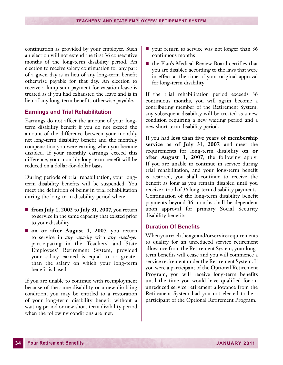continuation as provided by your employer. Such an election will not extend the first 36 consecutive months of the long-term disability period. An election to receive salary continuation for any part of a given day is in lieu of any long-term benefit otherwise payable for that day. An election to receive a lump sum payment for vacation leave is treated as if you had exhausted the leave and is in lieu of any long-term benefits otherwise payable.

#### **Earnings and Trial Rehabilitation**

Earnings do not affect the amount of your longterm disability benefit if you do not exceed the amount of the difference between your monthly net long-term disability benefit and the monthly compensation you were earning when you became disabled. If your monthly earnings exceed this difference, your monthly long-term benefit will be reduced on a dollar-for-dollar basis.

During periods of trial rehabilitation, your longterm disability benefits will be suspended. You meet the definition of being in trial rehabilitation during the long-term disability period when:

- **from July 1, 2002 to July 31, 2007**, you return to service in the same capacity that existed prior to your disability
- **n** on or after August 1, 2007, you return to service in *any capacity* with *any employer* participating in the Teachers' and State Employees' Retirement System, provided your salary earned is equal to or greater than the salary on which your long-term benefit is based

If you are unable to continue with reemployment because of the same disability or a new disabling condition, you may be entitled to a restoration of your long-term disability benefit without a waiting period or new short-term disability period when the following conditions are met:

- your return to service was not longer than 36 continuous months
- the Plan's Medical Review Board certifies that you are disabled according to the laws that were in effect at the time of your original approval for long-term disability

If the trial rehabilitation period exceeds 36 continuous months, you will again become a contributing member of the Retirement System; any subsequent disability will be treated as a new condition requiring a new waiting period and a new short-term disability period.

If you had **less than five years of membership service as of July 31, 2007**, and meet the requirements for long-term disability **on or after August 1, 2007**, the following apply: If you are unable to continue in service during trial rehabilitation, and your long-term benefit is restored, you shall continue to receive the benefit as long as you remain disabled until you receive a total of 36 long-term disability payments. Continuation of the long-term disability benefit payments beyond 36 months shall be dependent upon approval for primary Social Security disability benefits.

#### **Duration Of Benefits**

Whenyoureachtheageand/orservicerequirements to qualify for an unreduced service retirement allowance from the Retirement System, your longterm benefits will cease and you will commence a service retirement under the Retirement System. If you were a participant of the Optional Retirement Program, you will receive long-term benefits until the time you would have qualified for an unreduced service retirement allowance from the Retirement System had you not elected to be a participant of the Optional Retirement Program.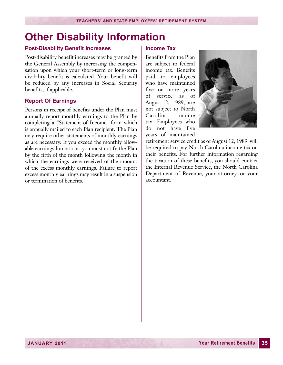### <span id="page-36-0"></span>**Other Disability Information**

#### **Post-Disability Benefit Increases**

Post-disability benefit increases may be granted by the General Assembly by increasing the compensation upon which your short-term or long-term disability benefit is calculated. Your benefit will be reduced by any increases in Social Security benefits, if applicable.

#### **Report Of Earnings**

Persons in receipt of benefits under the Plan must annually report monthly earnings to the Plan by completing a "Statement of Income" form which is annually mailed to each Plan recipient. The Plan may require other statements of monthly earnings as are necessary. If you exceed the monthly allowable earnings limitations, you must notify the Plan by the fifth of the month following the month in which the earnings were received of the amount of the excess monthly earnings. Failure to report excess monthly earnings may result in a suspension or termination of benefits.

#### **Income Tax**

Benefits from the Plan are subject to federal income tax. Benefits paid to employees who have maintained five or more years of service as of August 12, 1989, are not subject to North Carolina income tax. Employees who do not have five years of maintained



retirement service credit as of August 12, 1989, will be required to pay North Carolina income tax on their benefits. For further information regarding the taxation of these benefits, you should contact the Internal Revenue Service, the North Carolina Department of Revenue, your attorney, or your accountant.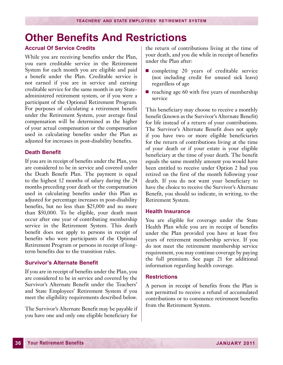### <span id="page-37-0"></span>**Other Benefits And Restrictions**

#### **Accrual Of Service Credits**

While you are receiving benefits under the Plan, you earn creditable service in the Retirement System for each month you are eligible and paid a benefit under the Plan. Creditable service is not earned if you are in service and earning creditable service for the same month in any Stateadministered retirement system, or if you were a participant of the Optional Retirement Program. For purposes of calculating a retirement benefit under the Retirement System, your average final compensation will be determined as the higher of your actual compensation or the compensation used in calculating benefits under the Plan as adjusted for increases in post-disability benefits.

#### **Death Benefit**

If you are in receipt of benefits under the Plan, you are considered to be in service and covered under the Death Benefit Plan. The payment is equal to the highest 12 months of salary during the 24 months preceding your death or the compensation used in calculating benefits under this Plan as adjusted for percentage increases in post-disability benefits, but no less than \$25,000 and no more than \$50,000. To be eligible, your death must occur after one year of contributing membership service in the Retirement System. This death benefit does not apply to persons in receipt of benefits who were participants of the Optional Retirement Program or persons in receipt of longterm benefits due to the transition rules.

#### **Survivor's Alternate Benefit**

If you are in receipt of benefits under the Plan, you are considered to be in service and covered by the Survivor's Alternate Benefit under the Teachers' and State Employees' Retirement System if you meet the eligibility requirements described below.

The Survivor's Alternate Benefit may be payable if you have one and only one eligible beneficiary for

the return of contributions living at the time of your death, and you die while in receipt of benefits under the Plan after:

- $\blacksquare$  completing 20 years of creditable service (not including credit for unused sick leave) regardless of age
- $\blacksquare$  reaching age 60 with five years of membership service

This beneficiary may choose to receive a monthly benefit (known as the Survivor's Alternate Benefit) for life instead of a return of your contributions. The Survivor's Alternate Benefit does not apply if you have two or more eligible beneficiaries for the return of contributions living at the time of your death or if your estate is your eligible beneficiary at the time of your death. The benefit equals the same monthly amount you would have been entitled to receive under Option 2 had you retired on the first of the month following your death. If you do not want your beneficiary to have the choice to receive the Survivor's Alternate Benefit, you should so indicate, in writing, to the Retirement System.

#### **Health Insurance**

You are eligible for coverage under the State Health Plan while you are in receipt of benefits under the Plan provided you have at least five years of retirement membership service. If you do not meet the retirement membership service requirement, you may continue coverage by paying the full premium. See page 21 for additional information regarding health coverage.

#### **Restrictions**

A person in receipt of benefits from the Plan is not permitted to receive a refund of accumulated contributions or to commence retirement benefits from the Retirement System.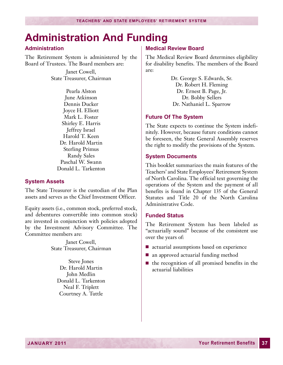### <span id="page-38-0"></span>**Administration And Funding**

#### **Administration**

The Retirement System is administered by the Board of Trustees. The Board members are:

> Janet Cowell, State Treasurer, Chairman

Pearla Alston June Atkinson Dennis Ducker Joyce H. Elliott Mark L. Foster Shirley E. Harris Jeffrey Israel Harold T. Keen Dr. Harold Martin Sterling Primus Randy Sales Paschal W. Swann Donald L. Tarkenton

#### **System Assets**

The State Treasurer is the custodian of the Plan assets and serves as the Chief Investment Officer.

Equity assets (i.e., common stock, preferred stock, and debentures convertible into common stock) are invested in conjunction with policies adopted by the Investment Advisory Committee. The Committee members are:

> Janet Cowell, State Treasurer, Chairman

Steve Jones Dr. Harold Martin John Medlin Donald L. Tarkenton Neal F. Triplett Courtney A. Tuttle

#### **Medical Review Board**

The Medical Review Board determines eligibility for disability benefits. The members of the Board are:

> Dr. George S. Edwards, Sr. Dr. Robert H. Fleming Dr. Ernest B. Page, Jr. Dr. Bobby Sellers Dr. Nathaniel L. Sparrow

#### **Future Of The System**

The State expects to continue the System indefinitely. However, because future conditions cannot be foreseen, the State General Assembly reserves the right to modify the provisions of the System.

#### **System Documents**

This booklet summarizes the main features of the Teachers' and State Employees' Retirement System of North Carolina. The official text governing the operations of the System and the payment of all benefits is found in Chapter 135 of the General Statutes and Title 20 of the North Carolina Administrative Code.

#### **Funded Status**

The Retirement System has been labeled as "actuarially sound" because of the consistent use over the years of:

- actuarial assumptions based on experience
- $\blacksquare$  an approved actuarial funding method
- $\blacksquare$  the recognition of all promised benefits in the actuarial liabilities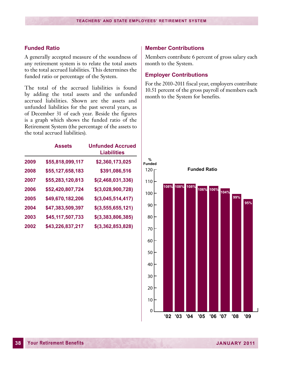#### **Funded Ratio**

A generally accepted measure of the soundness of any retirement system is to relate the total assets to the total accrued liabilities. This determines the funded ratio or percentage of the System.

The total of the accrued liabilities is found by adding the total assets and the unfunded accrued liabilities. Shown are the assets and unfunded liabilities for the past several years, as of December 31 of each year. Beside the figures is a graph which shows the funded ratio of the Retirement System (the percentage of the assets to the total accrued liabilities).

|      | <b>Assets</b>    | <b>Unfunded Accrued</b><br><b>Liabilities</b> |
|------|------------------|-----------------------------------------------|
| 2009 | \$55,818,099,117 | \$2,360,173,025                               |
| 2008 | \$55,127,658,183 | \$391,086,516                                 |
| 2007 | \$55,283,120,813 | \$(2,468,031,336)                             |
| 2006 | \$52,420,807,724 | \$(3,028,900,728)                             |
| 2005 | \$49,670,182,206 | \$(3,045,514,417)                             |
| 2004 | \$47,383,509,397 | \$(3,555,655,121)                             |
| 2003 | \$45,117,507,733 | \$(3,383,806,385)                             |
| 2002 | \$43,226,837,217 | \$(3,362,853,828)                             |

#### **Member Contributions**

Members contribute 6 percent of gross salary each month to the System.

#### **Employer Contributions**

For the 2010-2011 fiscal year, employers contribute 10.51 percent of the gross payroll of members each month to the System for benefits.